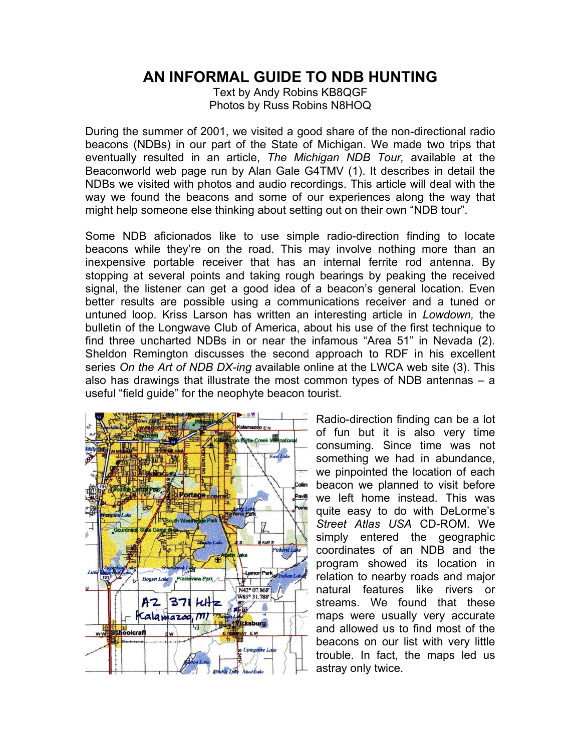## **AN INFORMAL GUIDE TO NDB HUNTING**

Text by Andy Robins KB8QGF Photos by Russ Robins N8HOQ

During the summer of 2001, we visited a good share of the non-directional radio beacons (NDBs) in our part of the State of Michigan. We made two trips that eventually resulted in an article, *The Michigan NDB Tour,* available at the Beaconworld web page run by Alan Gale G4TMV (1). It describes in detail the NDBs we visited with photos and audio recordings. This article will deal with the way we found the beacons and some of our experiences along the way that might help someone else thinking about setting out on their own "NDB tour".

Some NDB aficionados like to use simple radio-direction finding to locate beacons while they're on the road. This may involve nothing more than an inexpensive portable receiver that has an internal ferrite rod antenna. By stopping at several points and taking rough bearings by peaking the received signal, the listener can get a good idea of a beacon's general location. Even better results are possible using a communications receiver and a tuned or untuned loop. Kriss Larson has written an interesting article in *Lowdown,* the bulletin of the Longwave Club of America, about his use of the first technique to find three uncharted NDBs in or near the infamous "Area 51" in Nevada (2). Sheldon Remington discusses the second approach to RDF in his excellent series *On the Art of NDB DX-ing* available online at the LWCA web site (3). This also has drawings that illustrate the most common types of NDB antennas – a useful "field guide" for the neophyte beacon tourist.



Radio-direction finding can be a lot of fun but it is also very time consuming. Since time was not something we had in abundance, we pinpointed the location of each beacon we planned to visit before we left home instead. This was quite easy to do with DeLorme's *Street Atlas USA* CD-ROM. We simply entered the geographic coordinates of an NDB and the program showed its location in relation to nearby roads and major natural features like rivers or streams. We found that these maps were usually very accurate and allowed us to find most of the beacons on our list with very little trouble. In fact, the maps led us astray only twice.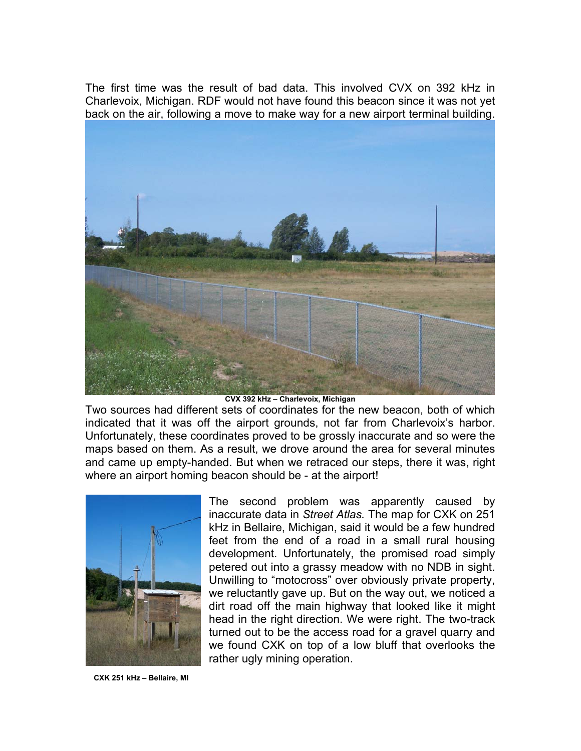The first time was the result of bad data. This involved CVX on 392 kHz in Charlevoix, Michigan. RDF would not have found this beacon since it was not yet back on the air, following a move to make way for a new airport terminal building.



**CVX 392 kHz – Charlevoix, Michigan** 

Two sources had different sets of coordinates for the new beacon, both of which indicated that it was off the airport grounds, not far from Charlevoix's harbor. Unfortunately, these coordinates proved to be grossly inaccurate and so were the maps based on them. As a result, we drove around the area for several minutes and came up empty-handed. But when we retraced our steps, there it was, right where an airport homing beacon should be - at the airport!



The second problem was apparently caused by inaccurate data in *Street Atlas.* The map for CXK on 251 kHz in Bellaire, Michigan, said it would be a few hundred feet from the end of a road in a small rural housing development. Unfortunately, the promised road simply petered out into a grassy meadow with no NDB in sight. Unwilling to "motocross" over obviously private property, we reluctantly gave up. But on the way out, we noticed a dirt road off the main highway that looked like it might head in the right direction. We were right. The two-track turned out to be the access road for a gravel quarry and we found CXK on top of a low bluff that overlooks the rather ugly mining operation.

 **CXK 251 kHz – Bellaire, MI**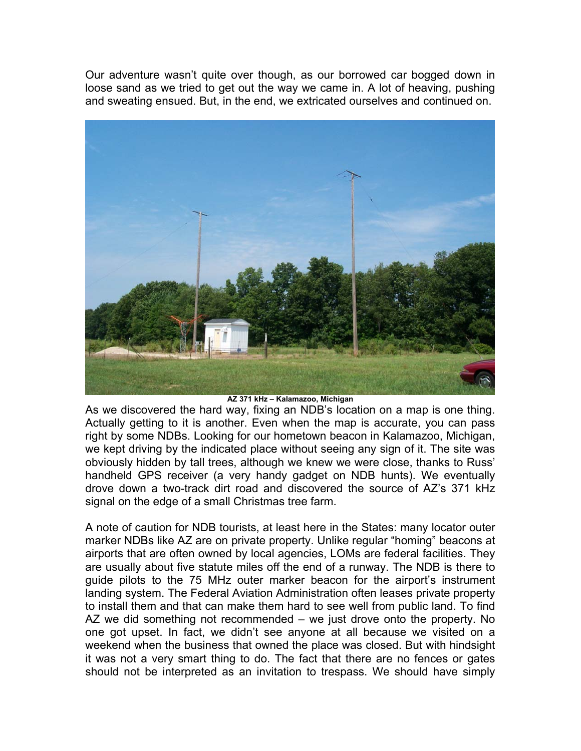Our adventure wasn't quite over though, as our borrowed car bogged down in loose sand as we tried to get out the way we came in. A lot of heaving, pushing and sweating ensued. But, in the end, we extricated ourselves and continued on.



**AZ 371 kHz – Kalamazoo, Michigan** 

As we discovered the hard way, fixing an NDB's location on a map is one thing. Actually getting to it is another. Even when the map is accurate, you can pass right by some NDBs. Looking for our hometown beacon in Kalamazoo, Michigan, we kept driving by the indicated place without seeing any sign of it. The site was obviously hidden by tall trees, although we knew we were close, thanks to Russ' handheld GPS receiver (a very handy gadget on NDB hunts). We eventually drove down a two-track dirt road and discovered the source of AZ's 371 kHz signal on the edge of a small Christmas tree farm.

A note of caution for NDB tourists, at least here in the States: many locator outer marker NDBs like AZ are on private property. Unlike regular "homing" beacons at airports that are often owned by local agencies, LOMs are federal facilities. They are usually about five statute miles off the end of a runway. The NDB is there to guide pilots to the 75 MHz outer marker beacon for the airport's instrument landing system. The Federal Aviation Administration often leases private property to install them and that can make them hard to see well from public land. To find AZ we did something not recommended – we just drove onto the property. No one got upset. In fact, we didn't see anyone at all because we visited on a weekend when the business that owned the place was closed. But with hindsight it was not a very smart thing to do. The fact that there are no fences or gates should not be interpreted as an invitation to trespass. We should have simply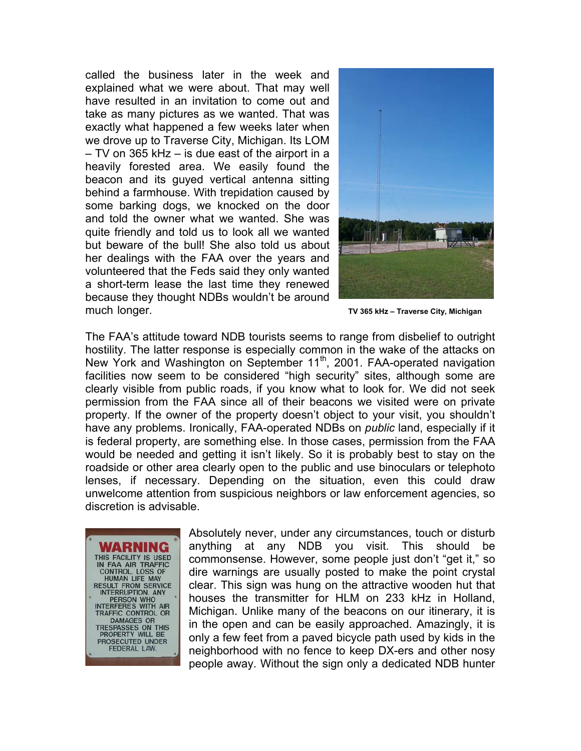called the business later in the week and explained what we were about. That may well have resulted in an invitation to come out and take as many pictures as we wanted. That was exactly what happened a few weeks later when we drove up to Traverse City, Michigan. Its LOM – TV on 365 kHz – is due east of the airport in a heavily forested area. We easily found the beacon and its guyed vertical antenna sitting behind a farmhouse. With trepidation caused by some barking dogs, we knocked on the door and told the owner what we wanted. She was quite friendly and told us to look all we wanted but beware of the bull! She also told us about her dealings with the FAA over the years and volunteered that the Feds said they only wanted a short-term lease the last time they renewed because they thought NDBs wouldn't be around muchlonger. **TV 365 kHz – Traverse City, Michigan**



The FAA's attitude toward NDB tourists seems to range from disbelief to outright hostility. The latter response is especially common in the wake of the attacks on New York and Washington on September 11<sup>th</sup>, 2001. FAA-operated navigation facilities now seem to be considered "high security" sites, although some are clearly visible from public roads, if you know what to look for. We did not seek permission from the FAA since all of their beacons we visited were on private property. If the owner of the property doesn't object to your visit, you shouldn't have any problems. Ironically, FAA-operated NDBs on *public* land, especially if it is federal property, are something else. In those cases, permission from the FAA would be needed and getting it isn't likely. So it is probably best to stay on the roadside or other area clearly open to the public and use binoculars or telephoto lenses, if necessary. Depending on the situation, even this could draw unwelcome attention from suspicious neighbors or law enforcement agencies, so discretion is advisable.

THIS FACILITY IS USED<br>IN FAA AIR TRAFFIC<br>CONTROL. LOSS OF<br>HUMAN LIFE MAY<br>RESULT FROM SERVICE<br>INTERRIPTION. ANY<br>PERSON WHO<br>INTERFERES WITH AIR<br>TRAFFIC CONTROL OR TRAFFIC CONTROL OR DAMAGES OR<br>TRESPASSES ON THIS<br>PROPERTY WILL BE PROSECUTED UNDER **FEDERAL LAW** 

Absolutely never, under any circumstances, touch or disturb anything at any NDB you visit. This should be commonsense. However, some people just don't "get it," so dire warnings are usually posted to make the point crystal clear. This sign was hung on the attractive wooden hut that houses the transmitter for HLM on 233 kHz in Holland, Michigan. Unlike many of the beacons on our itinerary, it is in the open and can be easily approached. Amazingly, it is only a few feet from a paved bicycle path used by kids in the neighborhood with no fence to keep DX-ers and other nosy people away. Without the sign only a dedicated NDB hunter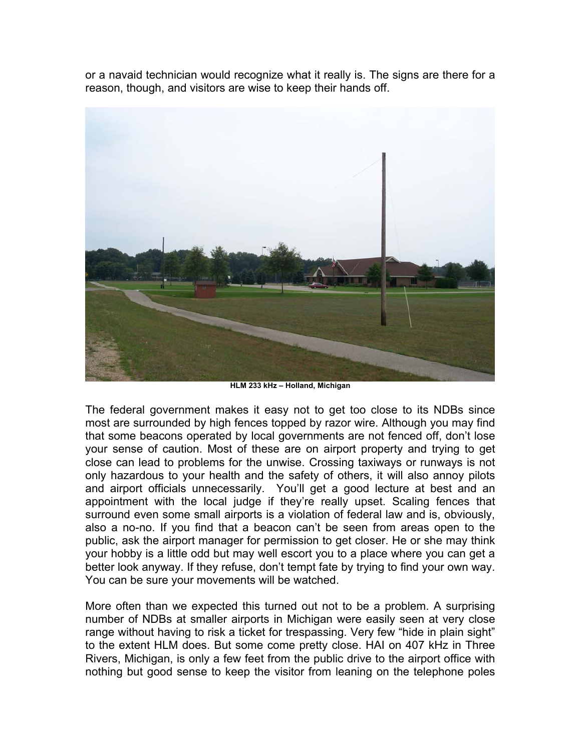or a navaid technician would recognize what it really is. The signs are there for a reason, though, and visitors are wise to keep their hands off.



**HLM 233 kHz – Holland, Michigan** 

The federal government makes it easy not to get too close to its NDBs since most are surrounded by high fences topped by razor wire. Although you may find that some beacons operated by local governments are not fenced off, don't lose your sense of caution. Most of these are on airport property and trying to get close can lead to problems for the unwise. Crossing taxiways or runways is not only hazardous to your health and the safety of others, it will also annoy pilots and airport officials unnecessarily. You'll get a good lecture at best and an appointment with the local judge if they're really upset. Scaling fences that surround even some small airports is a violation of federal law and is, obviously, also a no-no. If you find that a beacon can't be seen from areas open to the public, ask the airport manager for permission to get closer. He or she may think your hobby is a little odd but may well escort you to a place where you can get a better look anyway. If they refuse, don't tempt fate by trying to find your own way. You can be sure your movements will be watched.

More often than we expected this turned out not to be a problem. A surprising number of NDBs at smaller airports in Michigan were easily seen at very close range without having to risk a ticket for trespassing. Very few "hide in plain sight" to the extent HLM does. But some come pretty close. HAI on 407 kHz in Three Rivers, Michigan, is only a few feet from the public drive to the airport office with nothing but good sense to keep the visitor from leaning on the telephone poles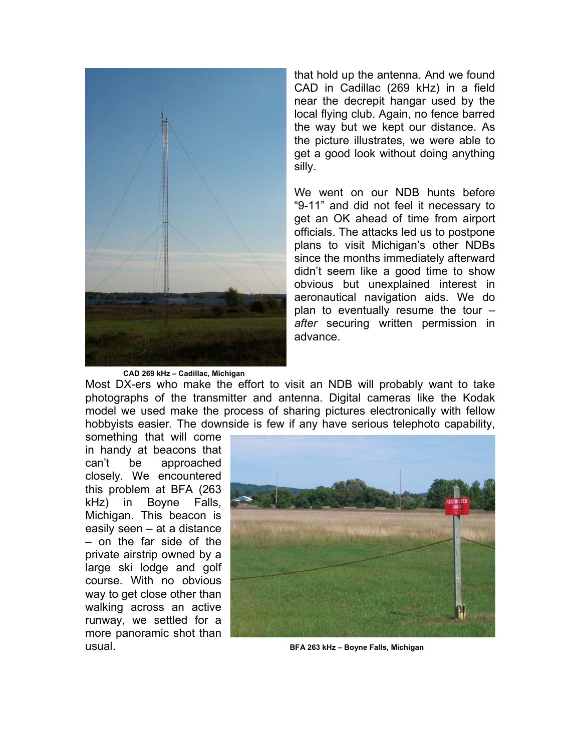

that hold up the antenna. And we found CAD in Cadillac (269 kHz) in a field near the decrepit hangar used by the local flying club. Again, no fence barred the way but we kept our distance. As the picture illustrates, we were able to get a good look without doing anything silly.

We went on our NDB hunts before "9-11" and did not feel it necessary to get an OK ahead of time from airport officials. The attacks led us to postpone plans to visit Michigan's other NDBs since the months immediately afterward didn't seem like a good time to show obvious but unexplained interest in aeronautical navigation aids. We do plan to eventually resume the tour – *after* securing written permission in advance.

Most DX-ers who make the effort to visit an NDB will probably want to take photographs of the transmitter and antenna. Digital cameras like the Kodak model we used make the process of sharing pictures electronically with fellow hobbyists easier. The downside is few if any have serious telephoto capability,

something that will come in handy at beacons that can't be approached closely. We encountered this problem at BFA (263 kHz) in Boyne Falls, Michigan. This beacon is easily seen – at a distance – on the far side of the private airstrip owned by a large ski lodge and golf course. With no obvious way to get close other than walking across an active runway, we settled for a more panoramic shot than usual. **BFA 263 kHz – Boyne Falls, Michigan** 

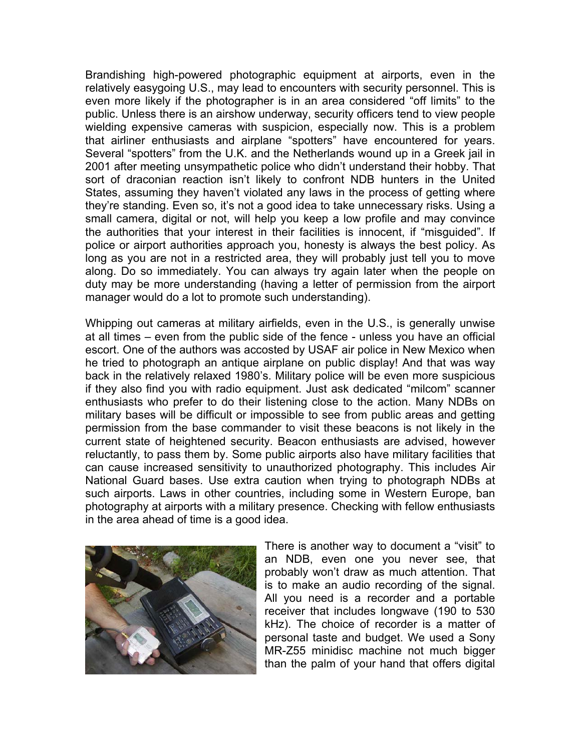Brandishing high-powered photographic equipment at airports, even in the relatively easygoing U.S., may lead to encounters with security personnel. This is even more likely if the photographer is in an area considered "off limits" to the public. Unless there is an airshow underway, security officers tend to view people wielding expensive cameras with suspicion, especially now. This is a problem that airliner enthusiasts and airplane "spotters" have encountered for years. Several "spotters" from the U.K. and the Netherlands wound up in a Greek jail in 2001 after meeting unsympathetic police who didn't understand their hobby. That sort of draconian reaction isn't likely to confront NDB hunters in the United States, assuming they haven't violated any laws in the process of getting where they're standing. Even so, it's not a good idea to take unnecessary risks. Using a small camera, digital or not, will help you keep a low profile and may convince the authorities that your interest in their facilities is innocent, if "misguided". If police or airport authorities approach you, honesty is always the best policy. As long as you are not in a restricted area, they will probably just tell you to move along. Do so immediately. You can always try again later when the people on duty may be more understanding (having a letter of permission from the airport manager would do a lot to promote such understanding).

Whipping out cameras at military airfields, even in the U.S., is generally unwise at all times – even from the public side of the fence - unless you have an official escort. One of the authors was accosted by USAF air police in New Mexico when he tried to photograph an antique airplane on public display! And that was way back in the relatively relaxed 1980's. Military police will be even more suspicious if they also find you with radio equipment. Just ask dedicated "milcom" scanner enthusiasts who prefer to do their listening close to the action. Many NDBs on military bases will be difficult or impossible to see from public areas and getting permission from the base commander to visit these beacons is not likely in the current state of heightened security. Beacon enthusiasts are advised, however reluctantly, to pass them by. Some public airports also have military facilities that can cause increased sensitivity to unauthorized photography. This includes Air National Guard bases. Use extra caution when trying to photograph NDBs at such airports. Laws in other countries, including some in Western Europe, ban photography at airports with a military presence. Checking with fellow enthusiasts in the area ahead of time is a good idea.



There is another way to document a "visit" to an NDB, even one you never see, that probably won't draw as much attention. That is to make an audio recording of the signal. All you need is a recorder and a portable receiver that includes longwave (190 to 530 kHz). The choice of recorder is a matter of personal taste and budget. We used a Sony MR-Z55 minidisc machine not much bigger than the palm of your hand that offers digital